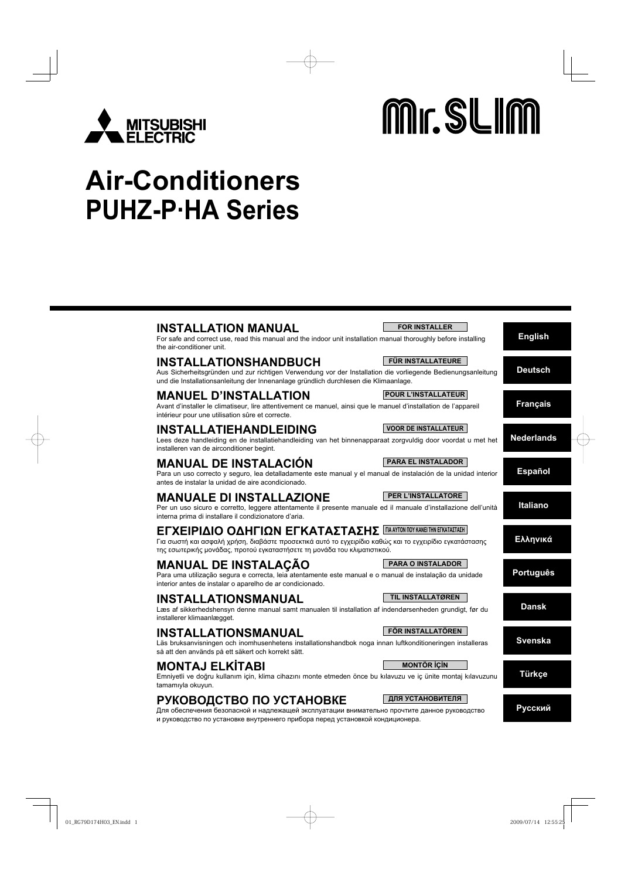

# Mr. SLIM

# **Air-Conditioners PUHZ-P·HA Series**

| <b>INSTALLATION MANUAL</b><br>For safe and correct use, read this manual and the indoor unit installation manual thoroughly before installing<br>the air-conditioner unit.                                                                                | <b>FOR INSTALLER</b>        | <b>English</b>    |
|-----------------------------------------------------------------------------------------------------------------------------------------------------------------------------------------------------------------------------------------------------------|-----------------------------|-------------------|
| <b>INSTALLATIONSHANDBUCH</b><br>Aus Sicherheitsgründen und zur richtigen Verwendung vor der Installation die vorliegende Bedienungsanleitung<br>und die Installationsanleitung der Innenanlage gründlich durchlesen die Klimaanlage.                      | <b>FÜR INSTALLATEURE</b>    | <b>Deutsch</b>    |
| <b>MANUEL D'INSTALLATION</b><br>Avant d'installer le climatiseur, lire attentivement ce manuel, ainsi que le manuel d'installation de l'appareil<br>intérieur pour une utilisation sûre et correcte.                                                      | <b>POUR L'INSTALLATEUR</b>  | <b>Français</b>   |
| <b>INSTALLATIEHANDLEIDING</b><br>Lees deze handleiding en de installatiehandleiding van het binnenapparaat zorgvuldig door voordat u met het<br>installeren van de airconditioner begint.                                                                 | <b>VOOR DE INSTALLATEUR</b> | <b>Nederlands</b> |
| <b>MANUAL DE INSTALACIÓN</b><br>Para un uso correcto y seguro, lea detalladamente este manual y el manual de instalación de la unidad interior<br>antes de instalar la unidad de aire acondicionado.                                                      | <b>PARA EL INSTALADOR</b>   | <b>Español</b>    |
| <b>MANUALE DI INSTALLAZIONE</b><br>Per un uso sicuro e corretto, leggere attentamente il presente manuale ed il manuale d'installazione dell'unità<br>interna prima di installare il condizionatore d'aria.                                               | PER L'INSTALLATORE          | Italiano          |
| ΕΓΧΕΙΡΙΔΙΟ ΟΔΗΓΙΩΝ ΕΓΚΑΤΑΣΤΑΣΗΣ ΠΑΑΥΤΟΝ ΠΟΥ ΚΑΝΕΙ ΤΗΝ ΕΓΚΑΤΑΣΤΑΣΗ<br>Για σωστή και ασφαλή χρήση, διαβάστε προσεκτικά αυτό το εγχειρίδιο καθώς και το εγχειρίδιο εγκατάστασης<br>της εσωτερικής μονάδας, προτού εγκαταστήσετε τη μονάδα του κλιματιστικού. |                             | Ελληνικά          |
| <b>MANUAL DE INSTALAÇÃO</b><br>Para uma utilização segura e correcta, leia atentamente este manual e o manual de instalação da unidade<br>interior antes de instalar o aparelho de ar condicionado.                                                       | <b>PARA O INSTALADOR</b>    | <b>Português</b>  |
| <b>INSTALLATIONSMANUAL</b><br>Læs af sikkerhedshensyn denne manual samt manualen til installation af indendørsenheden grundigt, før du<br>installerer klimaanlægget.                                                                                      | TIL INSTALLATØREN           | <b>Dansk</b>      |
| <b>INSTALLATIONSMANUAL</b><br>Läs bruksanvisningen och inomhusenhetens installationshandbok noga innan luftkonditioneringen installeras<br>så att den används på ett säkert och korrekt sätt.                                                             | FÖR INSTALLATÖREN           | <b>Svenska</b>    |
| <b>MONTAJ ELKÍTABI</b><br>Emniyetli ve doğru kullanım için, klima cihazını monte etmeden önce bu kılavuzu ve iç ünite montaj kılavuzunu<br>tamamıyla okuyun.                                                                                              | <b>MONTÖR İÇİN</b>          | Türkçe            |
| РУКОВОДСТВО ПО УСТАНОВКЕ<br>Для обеспечения безопасной и надлежащей эксплуатации внимательно прочтите данное руководство<br>и руководство по установке внутреннего прибора перед установкой кондиционера.                                                 | ДЛЯ УСТАНОВИТЕЛЯ            | Русский           |
|                                                                                                                                                                                                                                                           |                             |                   |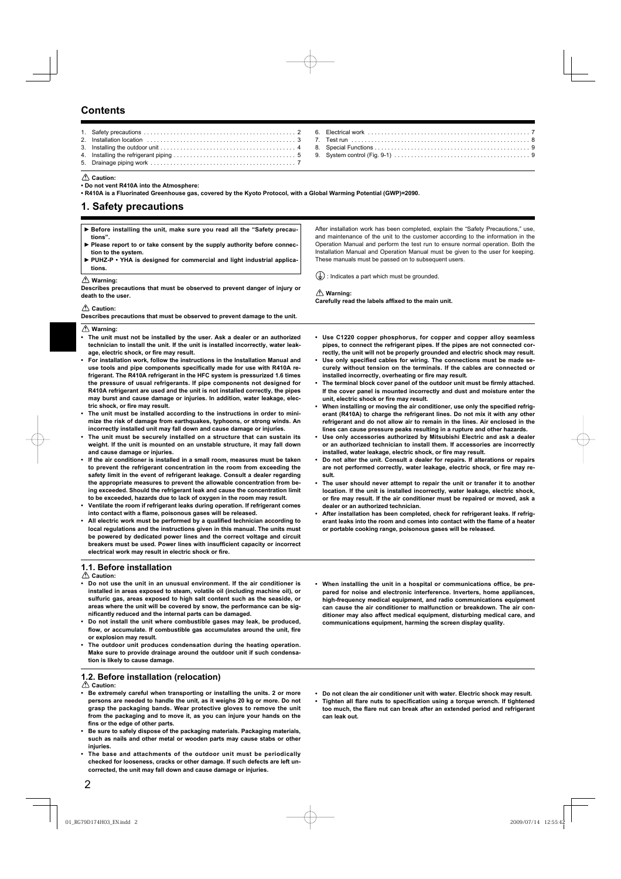# **Contents**

#### **Caution:**

**• Do not vent R410A into the Atmosphere:**

**• R410A is a Fluorinated Greenhouse gas, covered by the Kyoto Protocol, with a Global Warming Potential (GWP)=2090.**

### **1. Safety precautions**

| Example 15 Before installing the unit, make sure you read all the "Safety precau-<br>tions".     | After installation work has been completed, explain the "Safety Precautions," use,<br>and maintenance of the unit to the customer according to the information in the |
|--------------------------------------------------------------------------------------------------|-----------------------------------------------------------------------------------------------------------------------------------------------------------------------|
| ► Please report to or take consent by the supply authority before connec-<br>tion to the system. | Operation Manual and perform the test run to ensure normal operation. Both the<br>Installation Manual and Operation Manual must be given to the user for keeping.     |
| ► PUHZ-P • YHA is designed for commercial and light industrial applica-<br>tions.                | These manuals must be passed on to subsequent users.                                                                                                                  |
| $\triangle$ Warning:                                                                             | $(\frac{1}{x})$ : Indicates a part which must be grounded.                                                                                                            |
| Describes precautions that must be observed to prevent danger of injury or<br>death to the user. | $\langle \rangle$ Warning:                                                                                                                                            |

#### **Caution:**

| Describes precautions that must be observed to prevent damage to the unit. |
|----------------------------------------------------------------------------|
|----------------------------------------------------------------------------|

 **Warning:**

- **The unit must not be installed by the user. Ask a dealer or an authorized technician to install the unit. If the unit is installed incorrectly, water leak**age, electric shock, or fire may result.
- **For installation work, follow the instructions in the Installation Manual and**  use tools and pipe components specifically made for use with R410A re**frigerant. The R410A refrigerant in the HFC system is pressurized 1.6 times the pressure of usual refrigerants. If pipe components not designed for R410A refrigerant are used and the unit is not installed correctly, the pipes may burst and cause damage or injuries. In addition, water leakage, elec**tric shock, or fire may result.
- **The unit must be installed according to the instructions in order to minimize the risk of damage from earthquakes, typhoons, or strong winds. An incorrectly installed unit may fall down and cause damage or injuries.**
- **The unit must be securely installed on a structure that can sustain its weight. If the unit is mounted on an unstable structure, it may fall down and cause damage or injuries.**
- **If the air conditioner is installed in a small room, measures must be taken to prevent the refrigerant concentration in the room from exceeding the safety limit in the event of refrigerant leakage. Consult a dealer regarding the appropriate measures to prevent the allowable concentration from being exceeded. Should the refrigerant leak and cause the concentration limit to be exceeded, hazards due to lack of oxygen in the room may result.**
- **Ventilate the room if refrigerant leaks during operation. If refrigerant comes**  into contact with a flame, poisonous gases will be released.
- All electric work must be performed by a qualified technician according to **local regulations and the instructions given in this manual. The units must be powered by dedicated power lines and the correct voltage and circuit**  breakers must be used. Power lines with insufficient capacity or incorrect electrical work may result in electric shock or fire.

#### **1.1. Before installation**

 **Caution:**

- **Do not use the unit in an unusual environment. If the air conditioner is installed in areas exposed to steam, volatile oil (including machine oil), or sulfuric gas, areas exposed to high salt content such as the seaside, or areas where the unit will be covered by snow, the performance can be signifi cantly reduced and the internal parts can be damaged.**
- **Do not install the unit where combustible gases may leak, be produced,**  flow, or accumulate. If combustible gas accumulates around the unit, fire **or explosion may result.**
- **The outdoor unit produces condensation during the heating operation. Make sure to provide drainage around the outdoor unit if such condensation is likely to cause damage.**

#### **1.2. Before installation (relocation) Caution:**

- **Be extremely careful when transporting or installing the units. 2 or more persons are needed to handle the unit, as it weighs 20 kg or more. Do not grasp the packaging bands. Wear protective gloves to remove the unit from the packaging and to move it, as you can injure your hands on the**  fins or the edge of other parts.
- **Be sure to safely dispose of the packaging materials. Packaging materials, such as nails and other metal or wooden parts may cause stabs or other injuries.**
- **The base and attachments of the outdoor unit must be periodically checked for looseness, cracks or other damage. If such defects are left uncorrected, the unit may fall down and cause damage or injuries.**

Carefully read the labels affixed to the main unit.

- **Use C1220 copper phosphorus, for copper and copper alloy seamless pipes, to connect the refrigerant pipes. If the pipes are not connected correctly, the unit will not be properly grounded and electric shock may result.**
- Use only specified cables for wiring. The connections must be made se**curely without tension on the terminals. If the cables are connected or**  installed incorrectly, overheating or fire may result.
- The terminal block cover panel of the outdoor unit must be firmly attached. **If the cover panel is mounted incorrectly and dust and moisture enter the**  unit, electric shock or fire may result.
- When installing or moving the air conditioner, use only the specified refrig**erant (R410A) to charge the refrigerant lines. Do not mix it with any other refrigerant and do not allow air to remain in the lines. Air enclosed in the lines can cause pressure peaks resulting in a rupture and other hazards.**
- **Use only accessories authorized by Mitsubishi Electric and ask a dealer or an authorized technician to install them. If accessories are incorrectly**  installed, water leakage, electric shock, or fire may result.
- **Do not alter the unit. Consult a dealer for repairs. If alterations or repairs**  are not performed correctly, water leakage, electric shock, or fire may re**sult.**
- **The user should never attempt to repair the unit or transfer it to another location. If the unit is installed incorrectly, water leakage, electric shock,**  or fire may result. If the air conditioner must be repaired or moved, ask a **dealer or an authorized technician.**
- **After installation has been completed, check for refrigerant leaks. If refrig**erant leaks into the room and comes into contact with the flame of a heater **or portable cooking range, poisonous gases will be released.**
- **When installing the unit in a hospital or communications office, be prepared for noise and electronic interference. Inverters, home appliances, high-frequency medical equipment, and radio communications equipment can cause the air conditioner to malfunction or breakdown. The air conditioner may also affect medical equipment, disturbing medical care, and communications equipment, harming the screen display quality.**
- **Do not clean the air conditioner unit with water. Electric shock may result.**
- Tighten all flare nuts to specification using a torque wrench. If tightened too much, the flare nut can break after an extended period and refrigerant **can leak out.**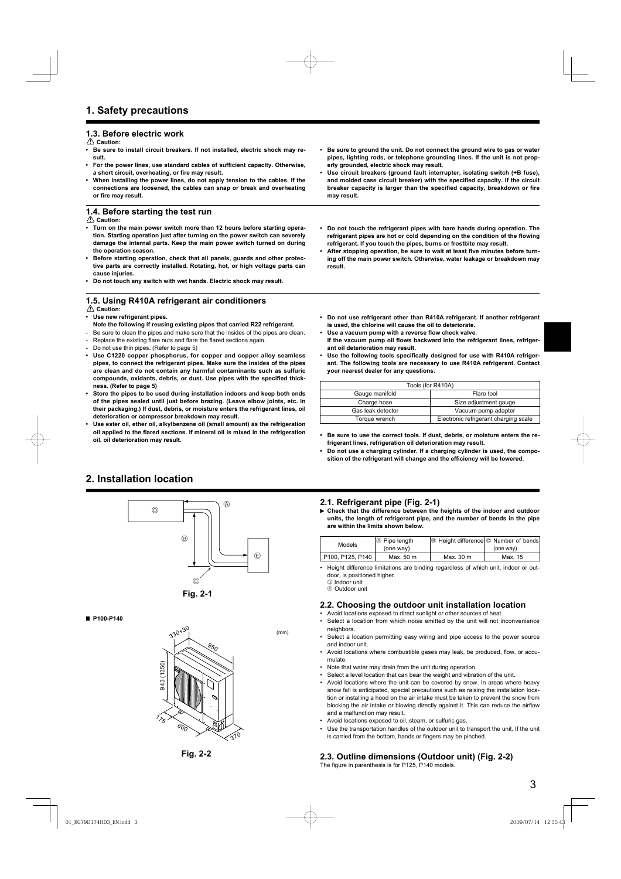# **1.3. Before electric work**

 **Caution:**

- **Be sure to install circuit breakers. If not installed, electric shock may result.**
- For the power lines, use standard cables of sufficient capacity. Otherwise, a short circuit, overheating, or fire may result.
- **When installing the power lines, do not apply tension to the cables. If the connections are loosened, the cables can snap or break and overheating**  or fire may result.

# **1.4. Before starting the test run**

 **Caution:**

- **Turn on the main power switch more than 12 hours before starting operation. Starting operation just after turning on the power switch can severely damage the internal parts. Keep the main power switch turned on during the operation season.**
- **Before starting operation, check that all panels, guards and other protective parts are correctly installed. Rotating, hot, or high voltage parts can cause injuries.**
- **Do not touch any switch with wet hands. Electric shock may result.**

# **1.5. Using R410A refrigerant air conditioners**

#### **Caution:**

- **Use new refrigerant pipes.**
- **Note the following if reusing existing pipes that carried R22 refrigerant.**
- Be sure to clean the pipes and make sure that the insides of the pipes are clean.
- Replace the existing flare nuts and flare the flared sections again.
- Do not use thin pipes. (Refer to page 5)
- **Use C1220 copper phosphorus, for copper and copper alloy seamless pipes, to connect the refrigerant pipes. Make sure the insides of the pipes are clean and do not contain any harmful contaminants such as sulfuric**  compounds, oxidants, debris, or dust. Use pipes with the specified thick**ness. (Refer to page 5)**
- **Store the pipes to be used during installation indoors and keep both ends of the pipes sealed until just before brazing. (Leave elbow joints, etc. in their packaging.) If dust, debris, or moisture enters the refrigerant lines, oil deterioration or compressor breakdown may result.**
- **Use ester oil, ether oil, alkylbenzene oil (small amount) as the refrigeration**  oil applied to the flared sections. If mineral oil is mixed in the refrigeration **oil, oil deterioration may result.**
- **Be sure to ground the unit. Do not connect the ground wire to gas or water pipes, lighting rods, or telephone grounding lines. If the unit is not properly grounded, electric shock may result.**
- **Use circuit breakers (ground fault interrupter, isolating switch (+B fuse),**  and molded case circuit breaker) with the specified capacity. If the circuit breaker capacity is larger than the specified capacity, breakdown or fire **may result.**
- **Do not touch the refrigerant pipes with bare hands during operation. The**  refrigerant pipes are hot or cold depending on the condition of the flowing **refrigerant. If you touch the pipes, burns or frostbite may result.**
- After stopping operation, be sure to wait at least five minutes before turn**ing off the main power switch. Otherwise, water leakage or breakdown may result.**
- **Do not use refrigerant other than R410A refrigerant. If another refrigerant is used, the chlorine will cause the oil to deteriorate.**
- Use a vacuum pump with a reverse flow check valve. If the vacuum pump oil flows backward into the refrigerant lines, refriger-
- **ant oil deterioration may result.** Use the following tools specifically designed for use with R410A refriger**ant. The following tools are necessary to use R410A refrigerant. Contact your nearest dealer for any questions.**

| Tools (for R410A)            |                                       |  |
|------------------------------|---------------------------------------|--|
| Gauge manifold<br>Flare tool |                                       |  |
| Charge hose                  | Size adjustment gauge                 |  |
| Gas leak detector            | Vacuum pump adapter                   |  |
| Torque wrench                | Electronic refrigerant charging scale |  |

- **Be sure to use the correct tools. If dust, debris, or moisture enters the refrigerant lines, refrigeration oil deterioration may result.**
- **Do not use a charging cylinder. If a charging cylinder is used, the compo**sition of the refrigerant will change and the efficiency will be lowered.

# **2. Installation location**





#### **P100-P140**



**Fig. 2-2**

#### **2.1. Refrigerant pipe (Fig. 2-1)**

 **Check that the difference between the heights of the indoor and outdoor units, the length of refrigerant pipe, and the number of bends in the pipe are within the limits shown below.**

| Models           | $\oslash$ Pipe length | <b>B</b> Height difference © Number of bends |           |
|------------------|-----------------------|----------------------------------------------|-----------|
|                  | (one way)             |                                              | (one way) |
| P100, P125, P140 | Max. 50 m             | Max. 30 m                                    | Max. 15   |

- Height difference limitations are binding regardless of which unit, indoor or outdoor, is positioned higher. D Indoor unit
	- E Outdoor unit

(mm)

#### **2.2. Choosing the outdoor unit installation location**

- Avoid locations exposed to direct sunlight or other sources of heat.
- Select a location from which noise emitted by the unit will not inconvenience neighbors
- Select a location permitting easy wiring and pipe access to the power source and indoor unit.
- Avoid locations where combustible gases may leak, be produced, flow, or accumulate.
- Note that water may drain from the unit during operation.
- Select a level location that can bear the weight and vibration of the unit.
- Avoid locations where the unit can be covered by snow. In areas where heavy snow fall is anticipated, special precautions such as raising the installation location or installing a hood on the air intake must be taken to prevent the snow from blocking the air intake or blowing directly against it. This can reduce the airflow and a malfunction may result.
- Avoid locations exposed to oil, steam, or sulfuric gas.
- Use the transportation handles of the outdoor unit to transport the unit. If the unit is carried from the bottom, hands or fingers may be pinched.

# **2.3. Outline dimensions (Outdoor unit) (Fig. 2-2)**

The figure in parenthesis is for P125, P140 models.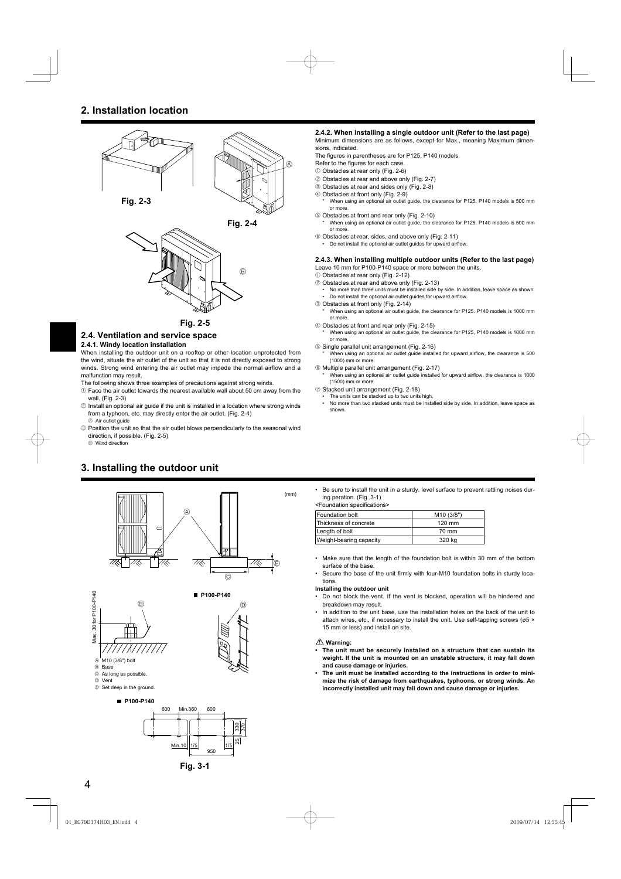# **2. Installation location**





**Fig. 2-5**

# **2.4. Ventilation and service space**

#### **2.4.1. Windy location installation**

When installing the outdoor unit on a rooftop or other location unprotected from the wind, situate the air outlet of the unit so that it is not directly exposed to strong winds. Strong wind entering the air outlet may impede the normal airflow and a malfunction may result.

The following shows three examples of precautions against strong winds.

- $0$  Face the air outlet towards the nearest available wall about 50 cm away from the wall. (Fig. 2-3)
- 2 Install an optional air guide if the unit is installed in a location where strong winds from a typhoon, etc. may directly enter the air outlet. (Fig. 2-4)  $\circledR$  Air outlet guide
- 3 Position the unit so that the air outlet blows perpendicularly to the seasonal wind direction, if possible. (Fig. 2-5)

B Wind direction



#### **2.4.2. When installing a single outdoor unit (Refer to the last page)** Minimum dimensions are as follows, except for Max., meaning Maximum dimensions, indicated.

The figures in parentheses are for P125, P140 models.

- Refer to the figures for each case.
- 1 Obstacles at rear only (Fig. 2-6)
- 2 Obstacles at rear and above only (Fig. 2-7)
- 3 Obstacles at rear and sides only (Fig. 2-8)
- 4 Obstacles at front only (Fig. 2-9)
- When using an optional air outlet guide, the clearance for P125, P140 models is 500 mm or more.
- 5 Obstacles at front and rear only (Fig. 2-10)

When using an optional air outlet guide, the clearance for P125, P140 models is 500 mm or more.

- 6 Obstacles at rear, sides, and above only (Fig. 2-11)
- Do not install the optional air outlet guides for upward airflow.

#### **2.4.3. When installing multiple outdoor units (Refer to the last page)** Leave 10 mm for P100-P140 space or more between the units.

- 1 Obstacles at rear only (Fig. 2-12)
- 2 Obstacles at rear and above only (Fig. 2-13)
- No more than three units must be installed side by side. In addition, leave space as shown. • Do not install the optional air outlet guides for upward airflow.
- 3 Obstacles at front only (Fig. 2-14)
- When using an optional air outlet guide, the clearance for P125. P140 models is 1000 mm or more.
- 4 Obstacles at front and rear only (Fig. 2-15)
- When using an optional air outlet guide, the clearance for P125, P140 models is 1000 mm or more.
- 5 Single parallel unit arrangement (Fig. 2-16) When using an optional air outlet guide installed for upward airflow, the clearance is 500 (1000) mm or more.
- 6 Multiple parallel unit arrangement (Fig. 2-17)
- When using an optional air outlet guide installed for upward airflow, the clearance is 1000 (1500) mm or more.
- 7 Stacked unit arrangement (Fig. 2-18)
- The units can be stacked up to two units high.<br>• No more than two stacked units must be installed
- No more than two stacked units must be installed side by side. In addition, leave space as shown.
- Be sure to install the unit in a sturdy, level surface to prevent rattling noises during peration. (Fig. 3-1) <Foundation specifications>

| <b>Foundation bolt</b>  | M <sub>10</sub> (3/8") |
|-------------------------|------------------------|
| Thickness of concrete   | 120 mm                 |
| Length of bolt          | 70 mm                  |
| Weight-bearing capacity | 320 kg                 |

- Make sure that the length of the foundation bolt is within 30 mm of the bottom surface of the base.
- Secure the base of the unit firmly with four-M10 foundation bolts in sturdy locations.

#### **Installing the outdoor unit**

- Do not block the vent. If the vent is blocked, operation will be hindered and breakdown may result.
- In addition to the unit base, use the installation holes on the back of the unit to attach wires, etc., if necessary to install the unit. Use self-tapping screws ( $\varnothing$ 5 × 15 mm or less) and install on site.

#### **Warning:**

- **The unit must be securely installed on a structure that can sustain its weight. If the unit is mounted on an unstable structure, it may fall down and cause damage or injuries.**
- **The unit must be installed according to the instructions in order to minimize the risk of damage from earthquakes, typhoons, or strong winds. An incorrectly installed unit may fall down and cause damage or injuries.**

**Fig. 3-1**

950

Min.10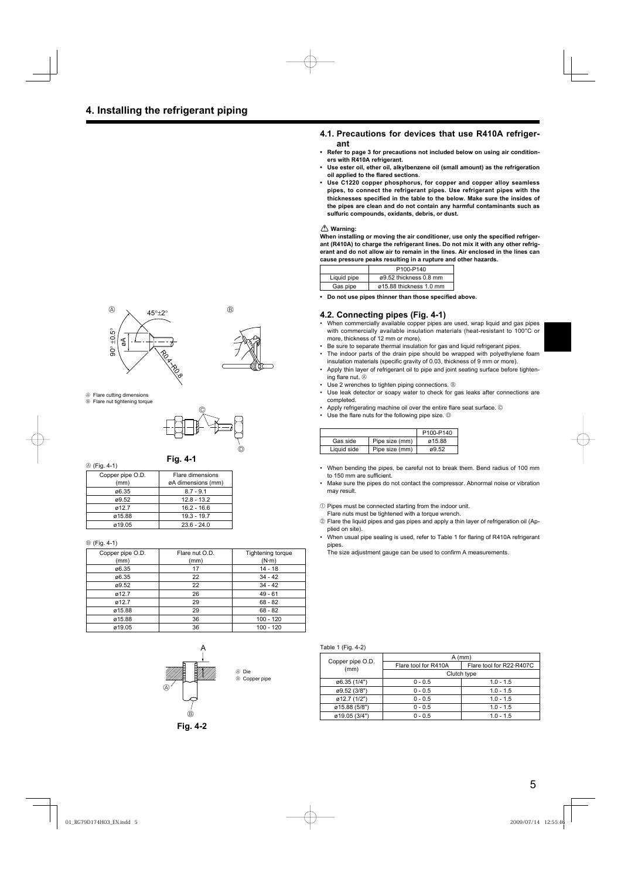#### **4.1. Precautions for devices that use R410A refrigerant**

- **Refer to page 3 for precautions not included below on using air conditioners with R410A refrigerant.**
- **Use ester oil, ether oil, alkylbenzene oil (small amount) as the refrigeration oil applied to the flared sections.**
- **Use C1220 copper phosphorus, for copper and copper alloy seamless pipes, to connect the refrigerant pipes. Use refrigerant pipes with the**  thicknesses specified in the table to the below. Make sure the insides of **the pipes are clean and do not contain any harmful contaminants such as sulfuric compounds, oxidants, debris, or dust.**

#### **Warning:**

When installing or moving the air conditioner, use only the specified refriger**ant (R410A) to charge the refrigerant lines. Do not mix it with any other refrigerant and do not allow air to remain in the lines. Air enclosed in the lines can cause pressure peaks resulting in a rupture and other hazards.**

|             | P100-P140               |
|-------------|-------------------------|
| Liquid pipe | ø9.52 thickness 0.8 mm  |
| Gas pipe    | ø15.88 thickness 1.0 mm |

**Do not use pipes thinner than those specified above.** 

#### **4.2. Connecting pipes (Fig. 4-1)**

- When commercially available copper pipes are used, wrap liquid and gas pipes with commercially available insulation materials (heat-resistant to 100°C or more, thickness of 12 mm or more).
- Be sure to separate thermal insulation for gas and liquid refrigerant pipes.
- The indoor parts of the drain pipe should be wrapped with polyethylene foam insulation materials (specific gravity of 0.03, thickness of 9 mm or more).
- Apply thin layer of refrigerant oil to pipe and joint seating surface before tightening flare nut.  $\circledR$
- Use 2 wrenches to tighten piping connections. ®
- Use leak detector or soapy water to check for gas leaks after connections are completed.
- Apply refrigerating machine oil over the entire flare seat surface. ©
- Use the flare nuts for the following pipe size.  $\mathbb O$

|             |                | P100-P140 |
|-------------|----------------|-----------|
| Gas side    | Pipe size (mm) | ø15.88    |
| Liquid side | Pipe size (mm) | ø9.52     |

- When bending the pipes, be careful not to break them. Bend radius of 100 mm to 150 mm are sufficient.
- Make sure the pipes do not contact the compressor. Abnormal noise or vibration may result.
- $0$  Pipes must be connected starting from the indoor unit.
- Flare nuts must be tightened with a torque wrench.
- 2 Flare the liquid pipes and gas pipes and apply a thin layer of refrigeration oil (Applied on site).
- When usual pipe sealing is used, refer to Table 1 for flaring of R410A refrigerant pipes.

The size adjustment gauge can be used to confirm A measurements.

Table 1 (Fig. 4-2)

|                          | $A$ (mm)             |                          |  |
|--------------------------|----------------------|--------------------------|--|
| Copper pipe O.D.<br>(mm) | Flare tool for R410A | Flare tool for R22 R407C |  |
|                          | Clutch type          |                          |  |
| ø6.35 (1/4")             | $0 - 0.5$            | $1.0 - 1.5$              |  |
| ø9.52 (3/8")             | $0 - 0.5$            | $1.0 - 1.5$              |  |
| ø12.7 (1/2")             | $0 - 0.5$            | $1.0 - 1.5$              |  |
| ø15.88 (5/8")            | $0 - 0.5$            | $1.0 - 1.5$              |  |
| ø19.05 (3/4")            | $0 - 0.5$            | $1.0 - 1.5$              |  |





- A Flare cutting dimensions  $\circledR$  Flare nut tightening torque
- $\circledcirc$  $\circledcirc$

A (Fig. 4-1)

| Copper pipe O.D. | Flare dimensions   |
|------------------|--------------------|
| (mm)             | øA dimensions (mm) |
| ø6.35            | $8.7 - 9.1$        |
| ø9.52            | $12.8 - 13.2$      |
| ø12.7            | $16.2 - 16.6$      |
| ø15.88           | $19.3 - 19.7$      |
| ø19.05           | $23.6 - 24.0$      |

#### B (Fig. 4-1)

| Copper pipe O.D.<br>(mm) | Flare nut O.D.<br>(mm) | <b>Tightening torque</b><br>$(N \cdot m)$ |
|--------------------------|------------------------|-------------------------------------------|
| ø6.35                    | 17                     | $14 - 18$                                 |
| ø6.35                    | 22                     | $34 - 42$                                 |
| ø9.52                    | 22                     | $34 - 42$                                 |
| ø12.7                    | 26                     | $49 - 61$                                 |
| ø12.7                    | 29                     | $68 - 82$                                 |
| ø15.88                   | 29                     | $68 - 82$                                 |
| ø15.88                   | 36                     | 100 - 120                                 |
| ø19.05                   | 36                     | 100 - 120                                 |



**Fig. 4-2**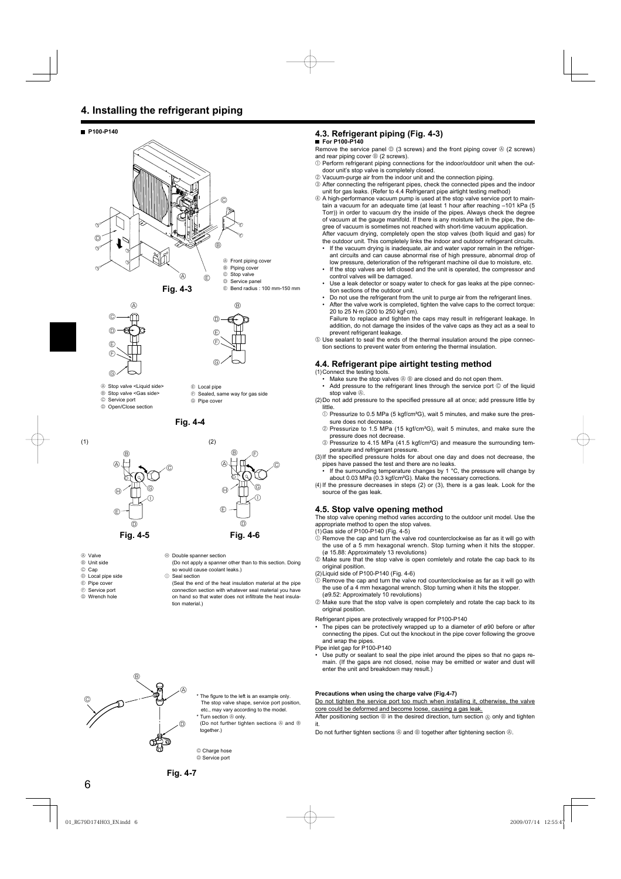# **4. Installing the refrigerant piping**

#### **P100-P140**





F

- 
- A Stop valve <Liquid side>
- <sup>®</sup> Stop valve <Gas side>
- C Service port D Open/Close section
	-

**Fig. 4-4**

G

 $©$  Sealed, same way for gas side

E Local pipe

G Pipe cover



- A Valve
- B Unit side
- © Cap
- D Local pipe side
- E Pipe cover
- $©$  Service port
- G Wrench hole



- (Do not apply a spanner other than to this section. Doing so would cause coolant leaks.)
- $\circledR$  Seal section

 (Seal the end of the heat insulation material at the pipe connection section with whatever seal material you have on hand so that water does not infiltrate the heat insulation material.)

# **4.3. Refrigerant piping (Fig. 4-3)**

**For P100-P140** 

Remove the service panel  $\mathbb{O}$  (3 screws) and the front piping cover  $\mathbb{O}$  (2 screws) and rear piping cover  $\circledcirc$  (2 screws).

- $10$  Perform refrigerant piping connections for the indoor/outdoor unit when the outdoor unit's stop valve is completely closed.
- 2 Vacuum-purge air from the indoor unit and the connection piping.
- 3 After connecting the refrigerant pipes, check the connected pipes and the indoor unit for gas leaks. (Refer to 4.4 Refrigerant pipe airtight testing method)
- 4 A high-performance vacuum pump is used at the stop valve service port to maintain a vacuum for an adequate time (at least 1 hour after reaching –101 kPa (5 Torr)) in order to vacuum dry the inside of the pipes. Always check the degree of vacuum at the gauge manifold. If there is any moisture left in the pipe, the degree of vacuum is sometimes not reached with short-time vacuum application. After vacuum drying, completely open the stop valves (both liquid and gas) for

the outdoor unit. This completely links the indoor and outdoor refrigerant circuits. If the vacuum drying is inadequate, air and water vapor remain in the refriger-

- ant circuits and can cause abnormal rise of high pressure, abnormal drop of low pressure, deterioration of the refrigerant machine oil due to moisture, etc.
- If the stop valves are left closed and the unit is operated, the compressor and control valves will be damaged.
- Use a leak detector or soapy water to check for gas leaks at the pipe connection sections of the outdoor unit.
- Do not use the refrigerant from the unit to purge air from the refrigerant lines.
- After the valve work is completed, tighten the valve caps to the correct torque: 20 to 25 N·m (200 to 250 kgf·cm).
- Failure to replace and tighten the caps may result in refrigerant leakage. In addition, do not damage the insides of the valve caps as they act as a seal to prevent refrigerant leakage.

 $6$  Use sealant to seal the ends of the thermal insulation around the pipe connection sections to prevent water from entering the thermal insulation.

#### **4.4. Refrigerant pipe airtight testing method**

(1) Connect the testing tools.

• Make sure the stop valves  $\circledast \circledast$  are closed and do not open them.

• Add pressure to the refrigerant lines through the service port © of the liquid stop valve  $\textcircled{A}$ 

(2) Do not add pressure to the specified pressure all at once; add pressure little by little.

- 1 Pressurize to 0.5 MPa (5 kgf/cm²G), wait 5 minutes, and make sure the pressure does not decrease
- 2 Pressurize to 1.5 MPa (15 kgf/cm²G), wait 5 minutes, and make sure the pressure does not decrease.
- 3 Pressurize to 4.15 MPa (41.5 kgf/cm²G) and measure the surrounding temperature and refrigerant pressure.

(3) If the specified pressure holds for about one day and does not decrease, the pipes have passed the test and there are no leaks.

If the surrounding temperature changes by 1 °C, the pressure will change by about 0.03 MPa (0.3 kgf/cm²G). Make the necessary corrections.

(4) If the pressure decreases in steps (2) or (3), there is a gas leak. Look for the source of the gas leak.

#### **4.5. Stop valve opening method**

The stop valve opening method varies according to the outdoor unit model. Use the appropriate method to open the stop valves.

(1) Gas side of P100-P140 (Fig. 4-5)

- $0$  Remove the cap and turn the valve rod counterclockwise as far as it will go with the use of a 5 mm hexagonal wrench. Stop turning when it hits the stopper. (ø 15.88: Approximately 13 revolutions)
- 2 Make sure that the stop valve is open comletely and rotate the cap back to its original position.
- (2) Liquid side of P100-P140 (Fig. 4-6)
- $\hat{O}$  Remove the cap and turn the valve rod counterclockwise as far as it will go with the use of a 4 mm hexagonal wrench. Stop turning when it hits the stopper. (ø9.52: Approximately 10 revolutions)
- 2 Make sure that the stop valve is open completely and rotate the cap back to its original position.
- Refrigerant pipes are protectively wrapped for P100-P140
- The pipes can be protectively wrapped up to a diameter of  $\varnothing$ 90 before or after connecting the pipes. Cut out the knockout in the pipe cover following the groove and wrap the pipes.
- Pipe inlet gap for P100-P140
- Use putty or sealant to seal the pipe inlet around the pipes so that no gaps remain. (If the gaps are not closed, noise may be emitted or water and dust will enter the unit and breakdown may result.)

#### **Precautions when using the charge valve (Fig.4-7)**

Do not tighten the service port too much when installing it, otherwise, the valve core could be deformed and become loose, causing a gas leak.

After positioning section  $@$  in the desired direction, turn section  $@$  only and tighten it.

Do not further tighten sections  $\circledA$  and  $\circledB$  together after tightening section  $\circledA$ .



etc., may vary according to the model. Turn section  $\overset{\cdot}{\otimes}$  only.

(Do not further tighten sections  $\circledA$  and  $\circledB$ together.)

The figure to the left is an example only. The stop valve shape, service port position,

© Charge hose D Service port

 $\Theta$  Double spanner section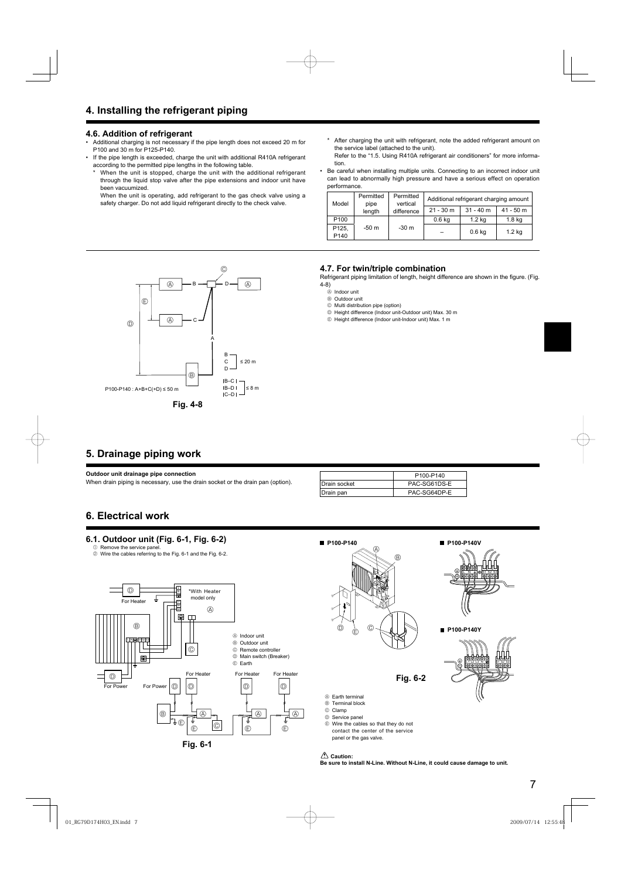# **4.6. Addition of refrigerant**

- Additional charging is not necessary if the pipe length does not exceed 20 m for P100 and 30 m for P125-P140.
- If the pipe length is exceeded, charge the unit with additional R410A refrigerant according to the permitted pipe lengths in the following table.
	- When the unit is stopped, charge the unit with the additional refrigerant through the liquid stop valve after the pipe extensions and indoor unit have been vacuumized.

 When the unit is operating, add refrigerant to the gas check valve using a safety charger. Do not add liquid refrigerant directly to the check valve.

- \* After charging the unit with refrigerant, note the added refrigerant amount on the service label (attached to the unit).
- Refer to the "1.5. Using R410A refrigerant air conditioners" for more information.
- Be careful when installing multiple units. Connecting to an incorrect indoor unit can lead to abnormally high pressure and have a serious effect on operation performance.

| Model            | Permitted<br>pipe<br>length | Permitted<br>vertical<br>difference | Additional refrigerant charging amount |                   |                   |
|------------------|-----------------------------|-------------------------------------|----------------------------------------|-------------------|-------------------|
|                  |                             |                                     | $21 - 30$ m                            | $31 - 40$ m       | $41 - 50$ m       |
| P <sub>100</sub> | $-50m$                      | $-30m$                              | 0.6 <sub>kq</sub>                      | 1.2 <sub>kq</sub> | 1.8 <sub>kq</sub> |
| P125,<br>P140    |                             |                                     |                                        | 0.6 <sub>kq</sub> | 1.2 <sub>kq</sub> |



#### **4.7. For twin/triple combination**

Refrigerant piping limitation of length, height difference are shown in the figure. (Fig. 4-8)

- A Indoor unit
- B Outdoor unit
- C Multi distribution pipe (option)
- D Height difference (Indoor unit-Outdoor unit) Max. 30 m
- E Height difference (Indoor unit-Indoor unit) Max. 1 m

# **5. Drainage piping work**

**Outdoor unit drainage pipe connection**

When drain piping is necessary, use the drain socket or the drain pan (option).

|                      | P100-P140    |  |
|----------------------|--------------|--|
| <b>IDrain socket</b> | PAC-SG61DS-E |  |
| Drain pan            | PAC-SG64DP-E |  |

# **6. Electrical work**

# **6.1. Outdoor unit (Fig. 6-1, Fig. 6-2)**

1 Remove the service pane 2 Wire the cables referring to the Fig. 6-1 and the Fig. 6-2.





E Wire the cables so that they do not contact the center of the service panel or the gas valve.

 **Caution:**

**Be sure to install N-Line. Without N-Line, it could cause damage to unit.**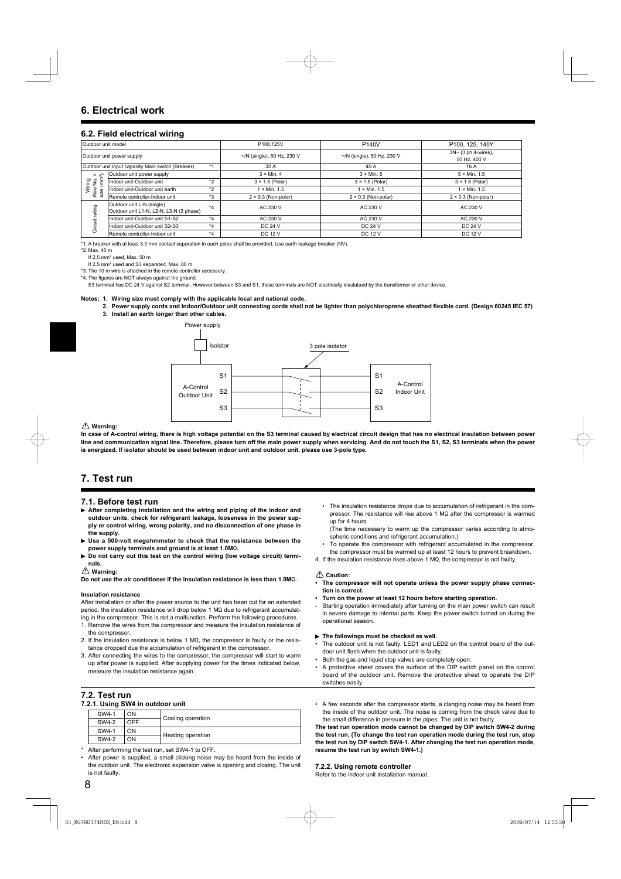#### **6.2. Field electrical wiring**

| Outdoor unit model             |                                                                      |                                 | P100.125V                        | <b>P140V</b>                                        | P100, 125, 140Y            |  |
|--------------------------------|----------------------------------------------------------------------|---------------------------------|----------------------------------|-----------------------------------------------------|----------------------------|--|
| Outdoor unit power supply      |                                                                      | $\neg N$ (single), 50 Hz, 230 V | $\sim$ /N (single), 50 Hz, 230 V | $3N \sim (3 \text{ ph } 4$ -wires),<br>50 Hz, 400 V |                            |  |
|                                | Outdoor unit input capacity Main switch (Breaker)                    | $*1$                            | 32 A                             | 40 A                                                | 16 A                       |  |
| $x \approx$                    | Outdoor unit power supply                                            |                                 | $3 \times$ Min. 4                | $3 \times$ Min. 6                                   | $5 \times$ Min. 1.5        |  |
| Ë                              | Indoor unit-Outdoor unit                                             | $*_{2}$                         | $3 \times 1.5$ (Polar)           | $3 \times 1.5$ (Polar)                              | $3 \times 1.5$ (Polar)     |  |
| Wiring<br>Wire No.<br>size (mm | Indoor unit-Outdoor unit earth                                       | $*_{2}$                         | $1 \times$ Min. 1.5              | $\times$ Min. 1.5                                   | $1 \times$ Min. 1.5        |  |
|                                | Remote controller-Indoor unit                                        | *3                              | $2 \times 0.3$ (Non-polar)       | $2 \times 0.3$ (Non-polar)                          | $2 \times 0.3$ (Non-polar) |  |
| rating<br>Circuit              | Outdoor unit L-N (single)<br>Outdoor unit L1-N, L2-N, L3-N (3 phase) | $*_{4}$                         | AC 230 V                         | AC 230 V                                            | AC 230 V                   |  |
|                                | Indoor unit-Outdoor unit S1-S2                                       | $*_{4}$                         | AC 230 V                         | AC 230 V                                            | AC 230 V                   |  |
|                                | Indoor unit-Outdoor unit S2-S3                                       | $*_{4}$                         | <b>DC 24 V</b>                   | <b>DC 24 V</b>                                      | <b>DC 24 V</b>             |  |
|                                | Remote controller-Indoor unit                                        | $*_{4}$                         | <b>DC 12 V</b>                   | <b>DC 12 V</b>                                      | <b>DC 12 V</b>             |  |

\*1. A breaker with at least 3.0 mm contact separation in each poles shall be provided. Use earth leakage breaker (NV).

\*2. Max. 45 m

If 2.5 mm<sup>2</sup> used, Max. 50 m

If 2.5 mm<sup>2</sup> used and S3 separated, Max. 80 m

\*3. The 10 m wire is attached in the remote controller accessory. \*4. The figures are NOT always against the ground.

S3 terminal has DC 24 V against S2 terminal. However between S3 and S1, these terminals are NOT electrically insulataed by the transformer or other device.

#### **Notes: 1. Wiring size must comply with the applicable local and national code.**

- 2. Power supply cords and Indoor/Outdoor unit connecting cords shall not be lighter than polychloroprene sheathed flexible cord. (Design 60245 IEC 57)
- **3. Install an earth longer than other cables.**



#### **Warning:**

**In case of A-control wiring, there is high voltage potential on the S3 terminal caused by electrical circuit design that has no electrical insulation between power**  line and communication signal line. Therefore, please turn off the main power supply when servicing. And do not touch the S1, S2, S3 terminals when the power **is energized. If isolator should be used between indoor unit and outdoor unit, please use 3-pole type.**

# **7. Test run**

#### **7.1. Before test run**

- **After completing installation and the wiring and piping of the indoor and outdoor units, check for refrigerant leakage, looseness in the power supply or control wiring, wrong polarity, and no disconnection of one phase in the supply.**
- **Use a 500-volt megohmmeter to check that the resistance between the**  power supply terminals and ground is at least 1.0M $\Omega$
- **Do not carry out this test on the control wiring (low voltage circuit) terminals.**

#### **Warning:**

**Do not use the air conditioner if the insulation resistance is less than 1.0M**Ω.

#### **Insulation resistance**

After installation or after the power source to the unit has been cut for an extended period, the insulation resistance will drop below 1  $\text{M}\Omega$  due to refrigerant accumulating in the compressor. This is not a malfunction. Perform the following procedures.

- 1. Remove the wires from the compressor and measure the insulation resistance of the compressor.
- 2. If the insulation resistance is below 1  $\text{M}\Omega$ , the compressor is faulty or the resistance dropped due the accumulation of refrigerant in the compressor.
- 3. After connecting the wires to the compressor, the compressor will start to warm up after power is supplied. After supplying power for the times indicated below, measure the insulation resistance again.

#### **7.2. Test run**

#### **7.2.1. Using SW4 in outdoor unit**

| -     |     |                   |
|-------|-----|-------------------|
| SW4-1 | ΟN  | Cooling operation |
| SW4-2 | ∩FF |                   |
| SW4-1 | OΝ  |                   |
| SW4-2 | OΝ  | Heating operation |

- After performing the test run, set SW4-1 to OFF.
- After power is supplied, a small clicking noise may be heard from the inside of the outdoor unit. The electronic expansion valve is opening and closing. The unit is not faulty

 • The insulation resistance drops due to accumulation of refrigerant in the compressor. The resistance will rise above 1 M $\Omega$  after the compressor is warmed up for 4 hours.

 (The time necessary to warm up the compressor varies according to atmospheric conditions and refrigerant accumulation.)

- To operate the compressor with refrigerant accumulated in the compressor, the compressor must be warmed up at least 12 hours to prevent breakdown.
- 4. If the insulation resistance rises above 1 MQ, the compressor is not faulty.

#### **Caution:**

- **The compressor will not operate unless the power supply phase connection is correct.**
- **Turn on the power at least 12 hours before starting operation.**
- Starting operation immediately after turning on the main power switch can result in severe damage to internal parts. Keep the power switch turned on during the operational season.

#### ▶ The followings must be checked as well.

- The outdoor unit is not faulty. LED1 and LED2 on the control board of the outdoor unit flash when the outdoor unit is faulty.
- Both the gas and liquid stop valves are completely open.
- A protective sheet covers the surface of the DIP switch panel on the control board of the outdoor unit. Remove the protective sheet to operate the DIP switches easily.
- A few seconds after the compressor starts, a clanging noise may be heard from the inside of the outdoor unit. The noise is coming from the check valve due to the small difference in pressure in the pipes. The unit is not faulty.

**The test run operation mode cannot be changed by DIP switch SW4-2 during the test run. (To change the test run operation mode during the test run, stop the test run by DIP switch SW4-1. After changing the test run operation mode, resume the test run by switch SW4-1.)**

#### **7.2.2. Using remote controller**

Refer to the indoor unit installation manual.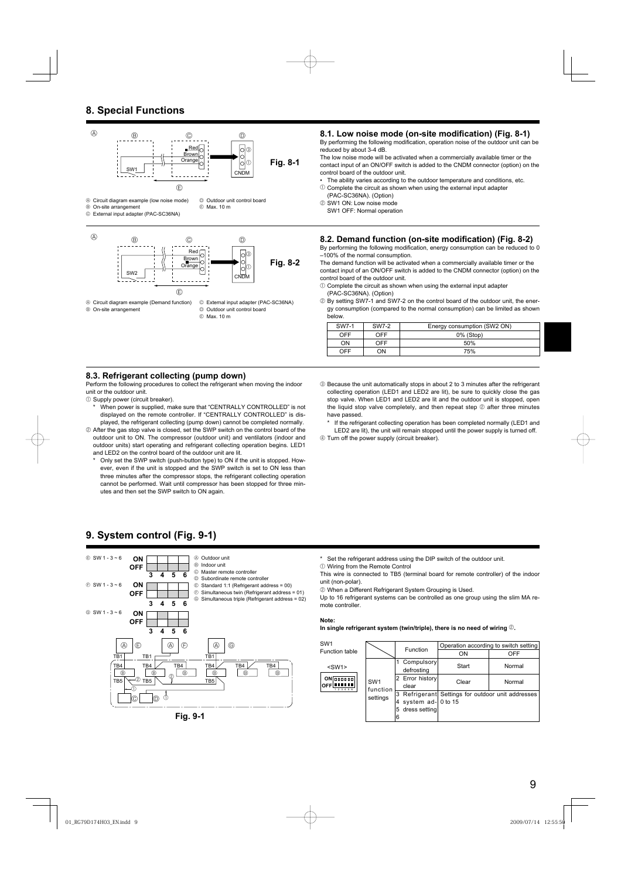# **8. Special Functions**



E Max. 10 m

# 8.1. Low noise mode (on-site modification) (Fig. 8-1)

By performing the following modification, operation noise of the outdoor unit can be reduced by about 3-4 dB.

The low noise mode will be activated when a commercially available timer or the contact input of an ON/OFF switch is added to the CNDM connector (option) on the control board of the outdoor unit.

- The ability varies according to the outdoor temperature and conditions, etc.
- $10$  Complete the circuit as shown when using the external input adapter (PAC-SC36NA). (Option)
- 2 SW1 ON: Low noise mode
	- SW1 OFF: Normal operation

#### **8.2. Demand function (on-site modification) (Fig. 8-2)**

By performing the following modification, energy consumption can be reduced to 0 –100% of the normal consumption.

The demand function will be activated when a commercially available timer or the contact input of an ON/OFF switch is added to the CNDM connector (option) on the control board of the outdoor unit.

- $10$  Complete the circuit as shown when using the external input adapter (PAC-SC36NA). (Option)
- 2 By setting SW7-1 and SW7-2 on the control board of the outdoor unit, the energy consumption (compared to the normal consumption) can be limited as shown below.

| SW7-1      | SW7-2 | Energy consumption (SW2 ON) |  |  |
|------------|-------|-----------------------------|--|--|
| <b>OFF</b> | OFF   | 0% (Stop)                   |  |  |
| <b>ON</b>  | OFF   | 50%                         |  |  |
| OFF        | OΝ    | 75%                         |  |  |

#### **8.3. Refrigerant collecting (pump down)**

Perform the following procedures to collect the refrigerant when moving the indoor unit or the outdoor unit.

- 1 Supply power (circuit breaker).
	- When power is supplied, make sure that "CENTRALLY CONTROLLED" is not displayed on the remote controller. If "CENTRALLY CONTROLLED" is displayed, the refrigerant collecting (pump down) cannot be completed normally.
- 2 After the gas stop valve is closed, set the SWP switch on the control board of the outdoor unit to ON. The compressor (outdoor unit) and ventilators (indoor and outdoor units) start operating and refrigerant collecting operation begins. LED1 and LED2 on the control board of the outdoor unit are lit.
	- Only set the SWP switch (push-button type) to ON if the unit is stopped. However, even if the unit is stopped and the SWP switch is set to ON less than three minutes after the compressor stops, the refrigerant collecting operation cannot be performed. Wait until compressor has been stopped for three minutes and then set the SWP switch to ON again.

# **9. System control (Fig. 9-1)**



**Fig. 9-1**

3 Because the unit automatically stops in about 2 to 3 minutes after the refrigerant collecting operation (LED1 and LED2 are lit), be sure to quickly close the gas stop valve. When LED1 and LED2 are lit and the outdoor unit is stopped, open the liquid stop valve completely, and then repeat step 2 after three minutes have passed.

If the refrigerant collecting operation has been completed normally (LED1 and LED2 are lit), the unit will remain stopped until the power supply is turned off.

4 Turn off the power supply (circuit breaker).

Set the refrigerant address using the DIP switch of the outdoor unit.

1 Wiring from the Remote Control

This wire is connected to TB5 (terminal board for remote controller) of the indoor unit (non-polar).

2 When a Different Refrigerant System Grouping is Used.

Up to 16 refrigerant systems can be controlled as one group using the slim MA remote controller.

#### **Note:**

**In single refrigerant system (twin/triple), there is no need of wiring** 2**.**

| SW <sub>1</sub>                                   |                                         | Function                 | Operation according to switch setting |                                                   |
|---------------------------------------------------|-----------------------------------------|--------------------------|---------------------------------------|---------------------------------------------------|
| Function table                                    |                                         |                          | ON                                    | OFF                                               |
| $<$ SW1 $>$                                       | SW <sub>1</sub><br>function<br>settings | Compulsory<br>defrosting | Start                                 | Normal                                            |
| $ON$ $[00000]$<br><b>OFF LILLI</b><br>1 2 3 4 5 6 |                                         | 2 Error history<br>clear | Clear                                 | Normal                                            |
|                                                   |                                         |                          |                                       | 3 Refrigerant Settings for outdoor unit addresses |
|                                                   |                                         | system ad- 0 to 15       |                                       |                                                   |
|                                                   |                                         | dress setting<br>5       |                                       |                                                   |
|                                                   |                                         | 6                        |                                       |                                                   |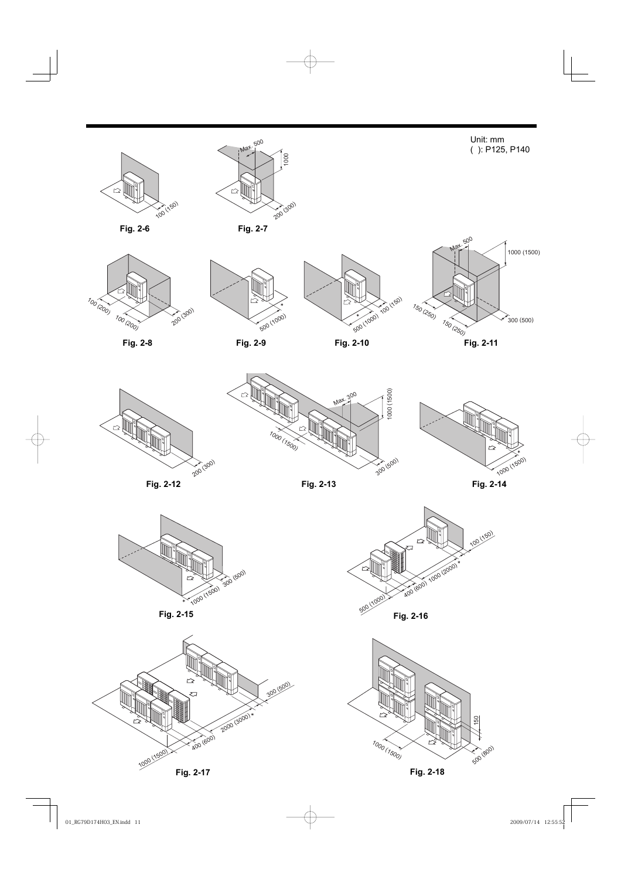

**Fig. 2-17 Fig. 2-18**